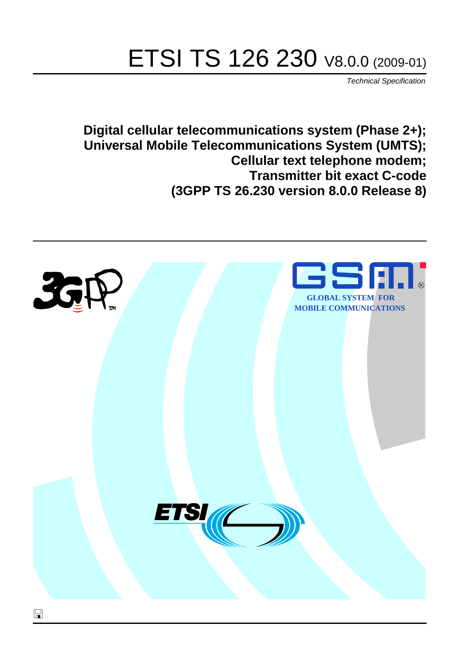# ETSI TS 126 230 V8.0.0 (2009-01)

*Technical Specification*

**Digital cellular telecommunications system (Phase 2+); Universal Mobile Telecommunications System (UMTS); Cellular text telephone modem; Transmitter bit exact C-code (3GPP TS 26.230 version 8.0.0 Release 8)**

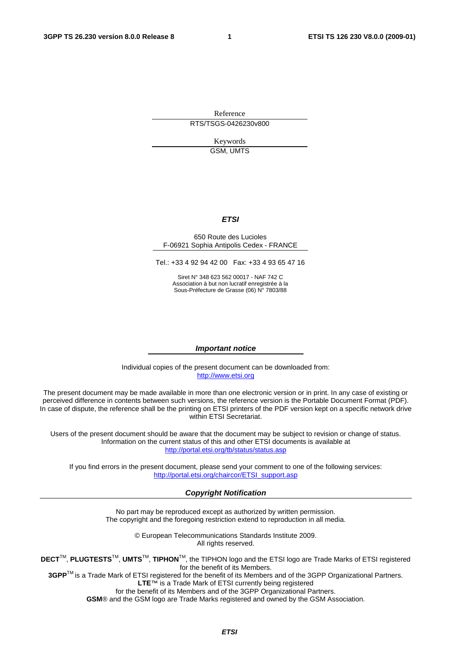Reference RTS/TSGS-0426230v800

> Keywords GSM, UMTS

#### *ETSI*

#### 650 Route des Lucioles F-06921 Sophia Antipolis Cedex - FRANCE

Tel.: +33 4 92 94 42 00 Fax: +33 4 93 65 47 16

Siret N° 348 623 562 00017 - NAF 742 C Association à but non lucratif enregistrée à la Sous-Préfecture de Grasse (06) N° 7803/88

#### *Important notice*

Individual copies of the present document can be downloaded from: [http://www.etsi.org](http://www.etsi.org/)

The present document may be made available in more than one electronic version or in print. In any case of existing or perceived difference in contents between such versions, the reference version is the Portable Document Format (PDF). In case of dispute, the reference shall be the printing on ETSI printers of the PDF version kept on a specific network drive within ETSI Secretariat.

Users of the present document should be aware that the document may be subject to revision or change of status. Information on the current status of this and other ETSI documents is available at <http://portal.etsi.org/tb/status/status.asp>

If you find errors in the present document, please send your comment to one of the following services: [http://portal.etsi.org/chaircor/ETSI\\_support.asp](http://portal.etsi.org/chaircor/ETSI_support.asp)

#### *Copyright Notification*

No part may be reproduced except as authorized by written permission. The copyright and the foregoing restriction extend to reproduction in all media.

> © European Telecommunications Standards Institute 2009. All rights reserved.

**DECT**TM, **PLUGTESTS**TM, **UMTS**TM, **TIPHON**TM, the TIPHON logo and the ETSI logo are Trade Marks of ETSI registered for the benefit of its Members.

**3GPP**TM is a Trade Mark of ETSI registered for the benefit of its Members and of the 3GPP Organizational Partners. **LTE**™ is a Trade Mark of ETSI currently being registered

for the benefit of its Members and of the 3GPP Organizational Partners.

**GSM**® and the GSM logo are Trade Marks registered and owned by the GSM Association.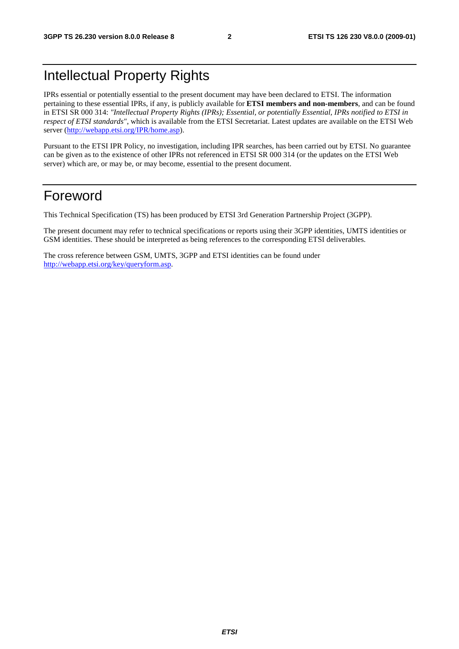### Intellectual Property Rights

IPRs essential or potentially essential to the present document may have been declared to ETSI. The information pertaining to these essential IPRs, if any, is publicly available for **ETSI members and non-members**, and can be found in ETSI SR 000 314: *"Intellectual Property Rights (IPRs); Essential, or potentially Essential, IPRs notified to ETSI in respect of ETSI standards"*, which is available from the ETSI Secretariat. Latest updates are available on the ETSI Web server ([http://webapp.etsi.org/IPR/home.asp\)](http://webapp.etsi.org/IPR/home.asp).

Pursuant to the ETSI IPR Policy, no investigation, including IPR searches, has been carried out by ETSI. No guarantee can be given as to the existence of other IPRs not referenced in ETSI SR 000 314 (or the updates on the ETSI Web server) which are, or may be, or may become, essential to the present document.

### Foreword

This Technical Specification (TS) has been produced by ETSI 3rd Generation Partnership Project (3GPP).

The present document may refer to technical specifications or reports using their 3GPP identities, UMTS identities or GSM identities. These should be interpreted as being references to the corresponding ETSI deliverables.

The cross reference between GSM, UMTS, 3GPP and ETSI identities can be found under [http://webapp.etsi.org/key/queryform.asp.](http://webapp.etsi.org/key/queryform.asp)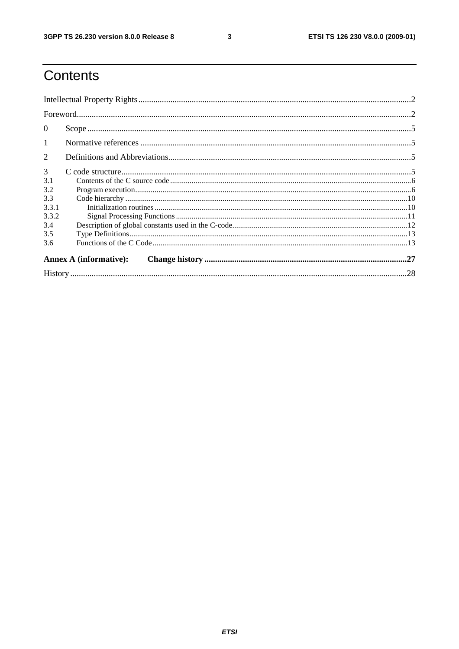$\mathbf{3}$ 

## Contents

| $\theta$       |                               |  |
|----------------|-------------------------------|--|
| $\mathbf{1}$   |                               |  |
| $\overline{2}$ |                               |  |
| 3              |                               |  |
| 3.1            |                               |  |
| 3.2            |                               |  |
| 3.3            |                               |  |
| 3.3.1          |                               |  |
| 3.3.2          |                               |  |
| 3.4            |                               |  |
| 3.5            |                               |  |
| 3.6            |                               |  |
|                | <b>Annex A (informative):</b> |  |
|                |                               |  |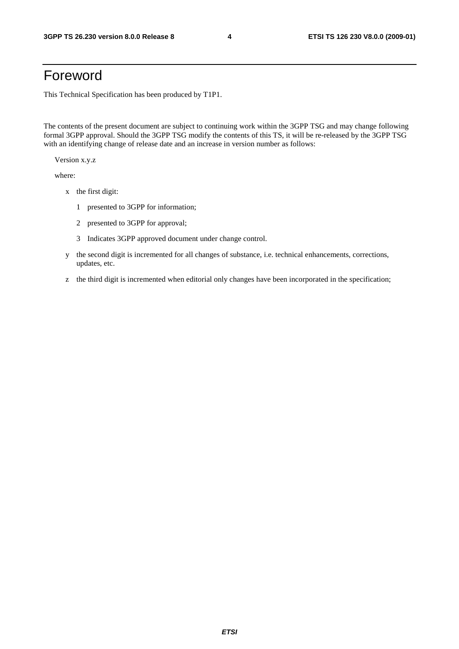### Foreword

This Technical Specification has been produced by T1P1.

The contents of the present document are subject to continuing work within the 3GPP TSG and may change following formal 3GPP approval. Should the 3GPP TSG modify the contents of this TS, it will be re-released by the 3GPP TSG with an identifying change of release date and an increase in version number as follows:

Version x.y.z

where:

- x the first digit:
	- 1 presented to 3GPP for information;
	- 2 presented to 3GPP for approval;
	- 3 Indicates 3GPP approved document under change control.
- y the second digit is incremented for all changes of substance, i.e. technical enhancements, corrections, updates, etc.
- z the third digit is incremented when editorial only changes have been incorporated in the specification;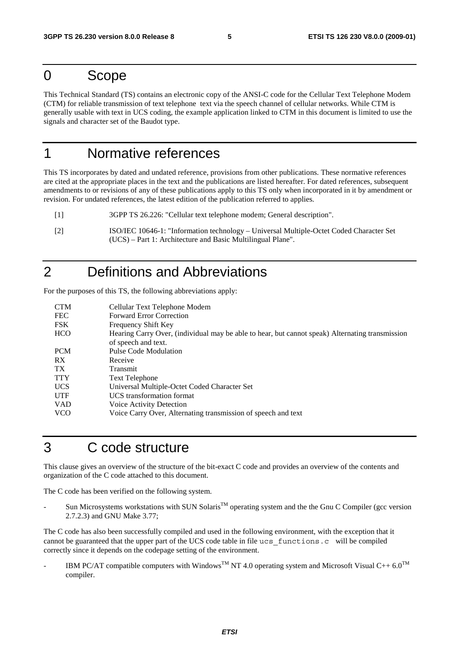### 0 Scope

This Technical Standard (TS) contains an electronic copy of the ANSI-C code for the Cellular Text Telephone Modem (CTM) for reliable transmission of text telephone text via the speech channel of cellular networks. While CTM is generally usable with text in UCS coding, the example application linked to CTM in this document is limited to use the signals and character set of the Baudot type.

### 1 Normative references

This TS incorporates by dated and undated reference, provisions from other publications. These normative references are cited at the appropriate places in the text and the publications are listed hereafter. For dated references, subsequent amendments to or revisions of any of these publications apply to this TS only when incorporated in it by amendment or revision. For undated references, the latest edition of the publication referred to applies.

- [1] 3GPP TS 26.226: "Cellular text telephone modem; General description".
- [2] ISO/IEC 10646-1: "Information technology Universal Multiple-Octet Coded Character Set (UCS) – Part 1: Architecture and Basic Multilingual Plane".

### 2 Definitions and Abbreviations

For the purposes of this TS, the following abbreviations apply:

| <b>CTM</b> | Cellular Text Telephone Modem                                                                   |
|------------|-------------------------------------------------------------------------------------------------|
| <b>FEC</b> | <b>Forward Error Correction</b>                                                                 |
| <b>FSK</b> | <b>Frequency Shift Key</b>                                                                      |
| <b>HCO</b> | Hearing Carry Over, (individual may be able to hear, but cannot speak) Alternating transmission |
|            | of speech and text.                                                                             |
| <b>PCM</b> | Pulse Code Modulation                                                                           |
| RX         | Receive                                                                                         |
| TX.        | Transmit                                                                                        |
| <b>TTY</b> | <b>Text Telephone</b>                                                                           |
| <b>UCS</b> | Universal Multiple-Octet Coded Character Set                                                    |
| <b>UTF</b> | UCS transformation format                                                                       |
| <b>VAD</b> | Voice Activity Detection                                                                        |
| <b>VCO</b> | Voice Carry Over, Alternating transmission of speech and text                                   |

### 3 C code structure

This clause gives an overview of the structure of the bit-exact C code and provides an overview of the contents and organization of the C code attached to this document.

The C code has been verified on the following system.

Sun Microsystems workstations with SUN Solaris<sup>TM</sup> operating system and the the Gnu C Compiler (gcc version 2.7.2.3) and GNU Make 3.77;

The C code has also been successfully compiled and used in the following environment, with the exception that it cannot be guaranteed that the upper part of the UCS code table in file ucs\_functions.c will be compiled correctly since it depends on the codepage setting of the environment.

IBM PC/AT compatible computers with Windows<sup>TM</sup> NT 4.0 operating system and Microsoft Visual C++  $6.0^{TM}$ compiler.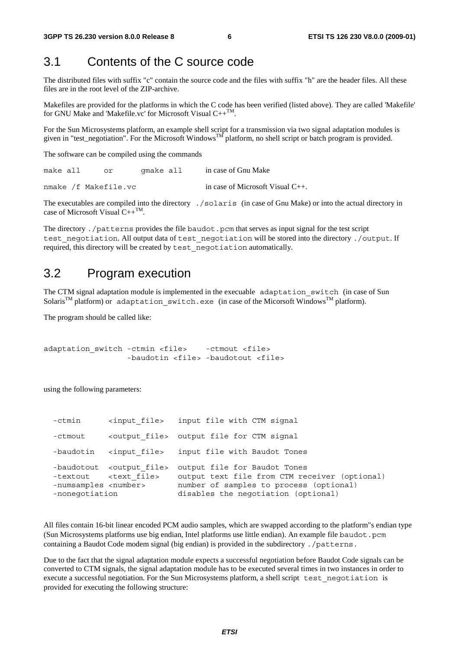### 3.1 Contents of the C source code

The distributed files with suffix "c" contain the source code and the files with suffix "h" are the header files. All these files are in the root level of the ZIP-archive.

Makefiles are provided for the platforms in which the C code has been verified (listed above). They are called 'Makefile' for GNU Make and 'Makefile.vc' for Microsoft Visual  $C++^{TM}$ .

For the Sun Microsystems platform, an example shell script for a transmission via two signal adaptation modules is given in "test\_negotiation". For the Microsoft Windows<sup>TM</sup> platform, no shell script or batch program is provided.

The software can be compiled using the commands

make all or gmake all in case of Gnu Make nmake /f Makefile.vc in case of Microsoft Visual C++.

The executables are compiled into the directory ./solaris (in case of Gnu Make) or into the actual directory in case of Microsoft Visual  $C++^{TM}$ .

The directory . /patterns provides the file baudot.pcm that serves as input signal for the test script test negotiation. All output data of test negotiation will be stored into the directory ./output. If required, this directory will be created by test\_negotiation automatically.

### 3.2 Program execution

The CTM signal adaptation module is implemented in the execuable adaptation switch (in case of Sun Solaris<sup>TM</sup> platform) or adaptation switch.exe (in case of the Micorsoft Windows<sup>TM</sup> platform).

The program should be called like:

```
adaptation switch -ctmin <file> -ctmout <file>
       -baudotin <file> -baudotout <file>
```
using the following parameters:

| -ctmin                                           | <input file=""/>                                                        | input file with CTM signal                                                                                                                                      |
|--------------------------------------------------|-------------------------------------------------------------------------|-----------------------------------------------------------------------------------------------------------------------------------------------------------------|
| -ctmout                                          |                                                                         | <output file=""> output file for CTM signal</output>                                                                                                            |
| -baudotin                                        | <input file=""/>                                                        | input file with Baudot Tones                                                                                                                                    |
| -numsamples <number><br/>-nonegotiation</number> | -baudotout <output file=""><br/>-textout <text file=""></text></output> | output file for Baudot Tones<br>output text file from CTM receiver (optional)<br>number of samples to process (optional)<br>disables the negotiation (optional) |

All files contain 16-bit linear encoded PCM audio samples, which are swapped according to the platform"s endian type (Sun Microsystems platforms use big endian, Intel platforms use little endian). An example file baudot.pcm containing a Baudot Code modem signal (big endian) is provided in the subdirectory ./patterns.

Due to the fact that the signal adaptation module expects a successful negotiation before Baudot Code signals can be converted to CTM signals, the signal adaptation module has to be executed several times in two instances in order to execute a successful negotiation. For the Sun Microsystems platform, a shell script test\_negotiation is provided for executing the following structure: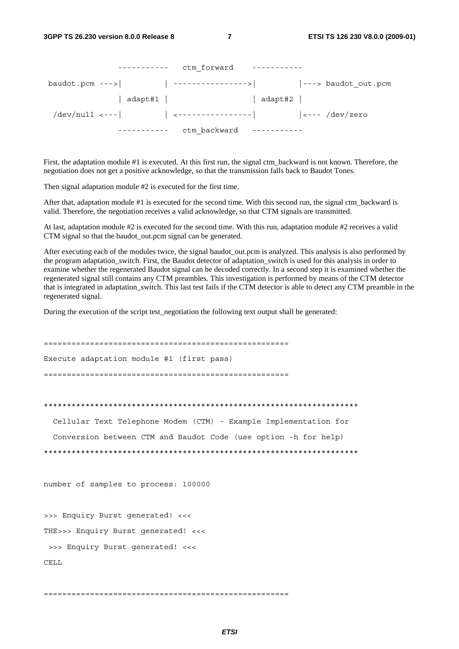| ctm forward  |         |  |
|--------------|---------|--|
|              |         |  |
| adapt#1      | adapt#2 |  |
|              |         |  |
| ctm backward |         |  |

First, the adaptation module #1 is executed. At this first run, the signal ctm\_backward is not known. Therefore, the negotiation does not get a positive acknowledge, so that the transmission falls back to Baudot Tones.

Then signal adaptation module #2 is executed for the first time.

After that, adaptation module #1 is executed for the second time. With this second run, the signal ctm\_backward is valid. Therefore, the negotiation receives a valid acknowledge, so that CTM signals are transmitted.

At last, adaptation module #2 is executed for the second time. With this run, adaptation module #2 receives a valid CTM signal so that the baudot\_out.pcm signal can be generated.

After executing each of the modules twice, the signal baudot\_out.pcm is analyzed. This analysis is also performed by the program adaptation\_switch. First, the Baudot detector of adaptation\_switch is used for this analysis in order to examine whether the regenerated Baudot signal can be decoded correctly. In a second step it is examined whether the regenerated signal still contains any CTM preambles. This investigation is performed by means of the CTM detector that is integrated in adaptation\_switch. This last test fails if the CTM detector is able to detect any CTM preamble in the regenerated signal.

During the execution of the script test\_negotiation the following text output shall be generated:

===================================================== Execute adaptation module #1 (first pass) ===================================================== \*\*\*\*\*\*\*\*\*\*\*\*\*\*\*\*\*\*\*\*\*\*\*\*\*\*\*\*\*\*\*\*\*\*\*\*\*\*\*\*\*\*\*\*\*\*\*\*\*\*\*\*\*\*\*\*\*\*\*\*\*\*\*\*\*\*\*\* Cellular Text Telephone Modem (CTM) - Example Implementation for Conversion between CTM and Baudot Code (use option -h for help) \*\*\*\*\*\*\*\*\*\*\*\*\*\*\*\*\*\*\*\*\*\*\*\*\*\*\*\*\*\*\*\*\*\*\*\*\*\*\*\*\*\*\*\*\*\*\*\*\*\*\*\*\*\*\*\*\*\*\*\*\*\*\*\*\*\*\*\* number of samples to process: 100000 >>> Enquiry Burst generated! <<< THE>>> Enquiry Burst generated! <<< >>> Enquiry Burst generated! <<< CELL.

=====================================================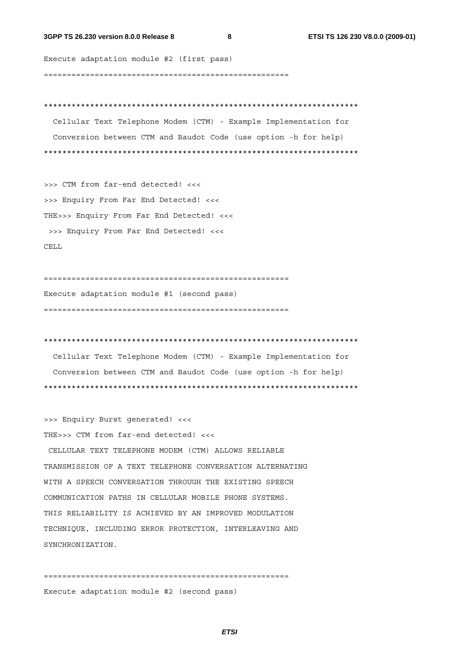#### **3GPP TS 26.230 version 8.0.0 Release 8 8 ETSI TS 126 230 V8.0.0 (2009-01)**

Execute adaptation module #2 (first pass) =====================================================

\*\*\*\*\*\*\*\*\*\*\*\*\*\*\*\*\*\*\*\*\*\*\*\*\*\*\*\*\*\*\*\*\*\*\*\*\*\*\*\*\*\*\*\*\*\*\*\*\*\*\*\*\*\*\*\*\*\*\*\*\*\*\*\*\*\*\*\* Cellular Text Telephone Modem (CTM) - Example Implementation for Conversion between CTM and Baudot Code (use option -h for help) \*\*\*\*\*\*\*\*\*\*\*\*\*\*\*\*\*\*\*\*\*\*\*\*\*\*\*\*\*\*\*\*\*\*\*\*\*\*\*\*\*\*\*\*\*\*\*\*\*\*\*\*\*\*\*\*\*\*\*\*\*\*\*\*\*\*\*\*

>>> CTM from far-end detected! <<< >>> Enquiry From Far End Detected! <<< THE>>> Enquiry From Far End Detected! <<< >>> Enquiry From Far End Detected! <<< CELL

===================================================== Execute adaptation module #1 (second pass) =====================================================

\*\*\*\*\*\*\*\*\*\*\*\*\*\*\*\*\*\*\*\*\*\*\*\*\*\*\*\*\*\*\*\*\*\*\*\*\*\*\*\*\*\*\*\*\*\*\*\*\*\*\*\*\*\*\*\*\*\*\*\*\*\*\*\*\*\*\*\* Cellular Text Telephone Modem (CTM) - Example Implementation for Conversion between CTM and Baudot Code (use option -h for help)

\*\*\*\*\*\*\*\*\*\*\*\*\*\*\*\*\*\*\*\*\*\*\*\*\*\*\*\*\*\*\*\*\*\*\*\*\*\*\*\*\*\*\*\*\*\*\*\*\*\*\*\*\*\*\*\*\*\*\*\*\*\*\*\*\*\*\*\*

>>> Enquiry Burst generated! <<< THE>>> CTM from far-end detected! <<<

 CELLULAR TEXT TELEPHONE MODEM (CTM) ALLOWS RELIABLE TRANSMISSION OF A TEXT TELEPHONE CONVERSATION ALTERNATING WITH A SPEECH CONVERSATION THROUGH THE EXISTING SPEECH COMMUNICATION PATHS IN CELLULAR MOBILE PHONE SYSTEMS. THIS RELIABILITY IS ACHIEVED BY AN IMPROVED MODULATION TECHNIQUE, INCLUDING ERROR PROTECTION, INTERLEAVING AND SYNCHRONIZATION.

===================================================== Execute adaptation module #2 (second pass)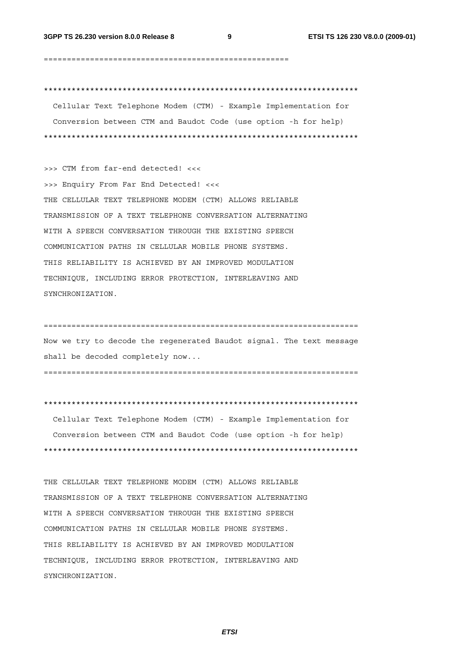=====================================================

\*\*\*\*\*\*\*\*\*\*\*\*\*\*\*\*\*\*\*\*\*\*\*\*\*\*\*\*\*\*\*\*\*\*\*\*\*\*\*\*\*\*\*\*\*\*\*\*\*\*\*\*\*\*\*\*\*\*\*\*\*\*\*\*\*\*\*\* Cellular Text Telephone Modem (CTM) - Example Implementation for Conversion between CTM and Baudot Code (use option -h for help) \*\*\*\*\*\*\*\*\*\*\*\*\*\*\*\*\*\*\*\*\*\*\*\*\*\*\*\*\*\*\*\*\*\*\*\*\*\*\*\*\*\*\*\*\*\*\*\*\*\*\*\*\*\*\*\*\*\*\*\*\*\*\*\*\*\*\*\*

>>> CTM from far-end detected! <<< >>> Enquiry From Far End Detected! <<< THE CELLULAR TEXT TELEPHONE MODEM (CTM) ALLOWS RELIABLE TRANSMISSION OF A TEXT TELEPHONE CONVERSATION ALTERNATING WITH A SPEECH CONVERSATION THROUGH THE EXISTING SPEECH COMMUNICATION PATHS IN CELLULAR MOBILE PHONE SYSTEMS. THIS RELIABILITY IS ACHIEVED BY AN IMPROVED MODULATION TECHNIQUE, INCLUDING ERROR PROTECTION, INTERLEAVING AND SYNCHRONIZATION.

==================================================================== Now we try to decode the regenerated Baudot signal. The text message shall be decoded completely now...

====================================================================

\*\*\*\*\*\*\*\*\*\*\*\*\*\*\*\*\*\*\*\*\*\*\*\*\*\*\*\*\*\*\*\*\*\*\*\*\*\*\*\*\*\*\*\*\*\*\*\*\*\*\*\*\*\*\*\*\*\*\*\*\*\*\*\*\*\*\*\*

 Cellular Text Telephone Modem (CTM) - Example Implementation for Conversion between CTM and Baudot Code (use option -h for help) \*\*\*\*\*\*\*\*\*\*\*\*\*\*\*\*\*\*\*\*\*\*\*\*\*\*\*\*\*\*\*\*\*\*\*\*\*\*\*\*\*\*\*\*\*\*\*\*\*\*\*\*\*\*\*\*\*\*\*\*\*\*\*\*\*\*\*\*

THE CELLULAR TEXT TELEPHONE MODEM (CTM) ALLOWS RELIABLE TRANSMISSION OF A TEXT TELEPHONE CONVERSATION ALTERNATING WITH A SPEECH CONVERSATION THROUGH THE EXISTING SPEECH COMMUNICATION PATHS IN CELLULAR MOBILE PHONE SYSTEMS. THIS RELIABILITY IS ACHIEVED BY AN IMPROVED MODULATION TECHNIQUE, INCLUDING ERROR PROTECTION, INTERLEAVING AND SYNCHRONIZATION.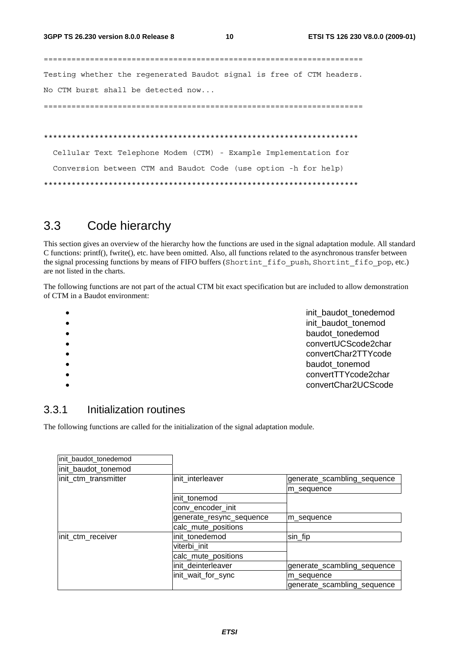===================================================================== Testing whether the regenerated Baudot signal is free of CTM headers. No CTM burst shall be detected now...

=====================================================================

\*\*\*\*\*\*\*\*\*\*\*\*\*\*\*\*\*\*\*\*\*\*\*\*\*\*\*\*\*\*\*\*\*\*\*\*\*\*\*\*\*\*\*\*\*\*\*\*\*\*\*\*\*\*\*\*\*\*\*\*\*\*\*\*\*\*\*\*

 Cellular Text Telephone Modem (CTM) - Example Implementation for Conversion between CTM and Baudot Code (use option -h for help) \*\*\*\*\*\*\*\*\*\*\*\*\*\*\*\*\*\*\*\*\*\*\*\*\*\*\*\*\*\*\*\*\*\*\*\*\*\*\*\*\*\*\*\*\*\*\*\*\*\*\*\*\*\*\*\*\*\*\*\*\*\*\*\*\*\*\*\*

### 3.3 Code hierarchy

This section gives an overview of the hierarchy how the functions are used in the signal adaptation module. All standard C functions: printf(), fwrite(), etc. have been omitted. Also, all functions related to the asynchronous transfer between the signal processing functions by means of FIFO buffers (Shortint\_fifo\_push, Shortint\_fifo\_pop, etc.) are not listed in the charts.

The following functions are not part of the actual CTM bit exact specification but are included to allow demonstration of CTM in a Baudot environment:

| $\bullet$ | init baudot tonedemod |
|-----------|-----------------------|
| $\bullet$ | init baudot tonemod   |
| $\bullet$ | baudot_tonedemod      |
| $\bullet$ | convertUCScode2char   |
| $\bullet$ | convertChar2TTYcode   |
| $\bullet$ | baudot tonemod        |
| $\bullet$ | convertTTYcode2char   |
|           | convertChar2UCScode   |
|           |                       |

### 3.3.1 Initialization routines

The following functions are called for the initialization of the signal adaptation module.

| init_baudot_tonedemod |                          |                             |
|-----------------------|--------------------------|-----------------------------|
| init_baudot_tonemod   |                          |                             |
| init_ctm_transmitter  | init interleaver         | generate_scambling_sequence |
|                       |                          | m sequence                  |
|                       | linit tonemod            |                             |
|                       | conv_encoder_init        |                             |
|                       | generate_resync_sequence | m sequence                  |
|                       | calc_mute_positions      |                             |
| init_ctm_receiver     | init tonedemod           | sin_fip                     |
|                       | viterbi init             |                             |
|                       | calc_mute_positions      |                             |
|                       | init deinterleaver       | generate_scambling_sequence |
|                       | init_wait_for_sync       | m sequence                  |
|                       |                          | generate_scambling_sequence |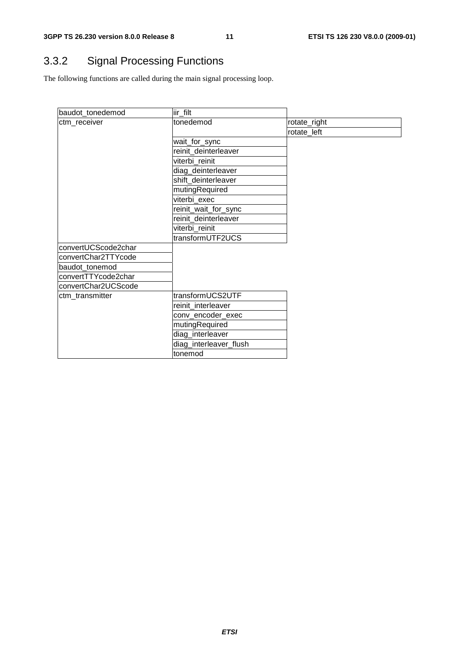### 3.3.2 Signal Processing Functions

The following functions are called during the main signal processing loop.

| baudot_tonedemod    | lir_filt               |              |
|---------------------|------------------------|--------------|
| ctm_receiver        | tonedemod              | rotate_right |
|                     |                        | rotate_left  |
|                     | wait_for_sync          |              |
|                     | reinit_deinterleaver   |              |
|                     | viterbi reinit         |              |
|                     | diag_deinterleaver     |              |
|                     | shift_deinterleaver    |              |
|                     | mutingRequired         |              |
|                     | viterbi_exec           |              |
|                     | reinit_wait_for_sync   |              |
|                     | reinit_deinterleaver   |              |
|                     | viterbi_reinit         |              |
|                     | transformUTF2UCS       |              |
| convertUCScode2char |                        |              |
| convertChar2TTYcode |                        |              |
| baudot_tonemod      |                        |              |
| convertTTYcode2char |                        |              |
| convertChar2UCScode |                        |              |
| ctm_transmitter     | transformUCS2UTF       |              |
|                     | reinit_interleaver     |              |
|                     | conv_encoder_exec      |              |
|                     | mutingRequired         |              |
|                     | diag_interleaver       |              |
|                     | diag_interleaver_flush |              |
|                     | tonemod                |              |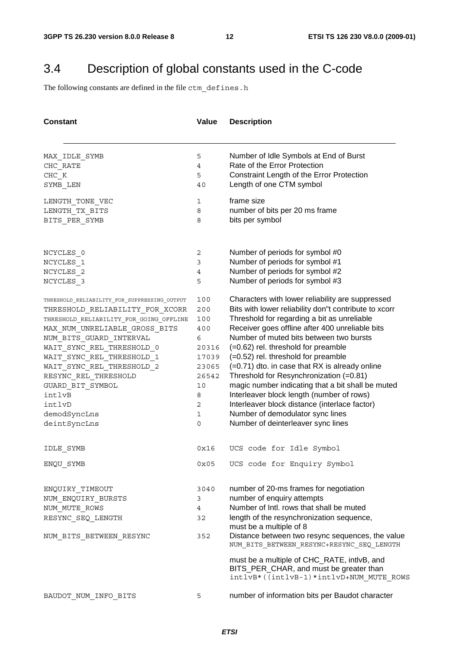### 3.4 Description of global constants used in the C-code

The following constants are defined in the file ctm\_defines.h

| <b>Constant</b>                                                                 | Value          | <b>Description</b>                                                                                                                |  |  |
|---------------------------------------------------------------------------------|----------------|-----------------------------------------------------------------------------------------------------------------------------------|--|--|
|                                                                                 |                |                                                                                                                                   |  |  |
| MAX IDLE SYMB                                                                   | 5              | Number of Idle Symbols at End of Burst                                                                                            |  |  |
| CHC RATE                                                                        | $\overline{4}$ | Rate of the Error Protection                                                                                                      |  |  |
| CHC K                                                                           | 5              | Constraint Length of the Error Protection                                                                                         |  |  |
| SYMB LEN                                                                        | 40             | Length of one CTM symbol                                                                                                          |  |  |
| LENGTH_TONE_VEC                                                                 | 1              | frame size                                                                                                                        |  |  |
| LENGTH_TX_BITS                                                                  | 8              | number of bits per 20 ms frame                                                                                                    |  |  |
| BITS_PER_SYMB                                                                   | 8              | bits per symbol                                                                                                                   |  |  |
| NCYCLES 0                                                                       | 2              | Number of periods for symbol #0                                                                                                   |  |  |
| NCYCLES 1                                                                       | 3              | Number of periods for symbol #1                                                                                                   |  |  |
| NCYCLES 2                                                                       | 4              | Number of periods for symbol #2                                                                                                   |  |  |
| NCYCLES 3                                                                       | 5              | Number of periods for symbol #3                                                                                                   |  |  |
| THRESHOLD RELIABILITY FOR SUPPRESSING OUTPUT<br>THRESHOLD RELIABILITY FOR XCORR | 100<br>200     | Characters with lower reliability are suppressed<br>Bits with lower reliability don"t contribute to xcorr                         |  |  |
| THRESHOLD_RELIABILITY_FOR_GOING_OFFLINE                                         | 100            | Threshold for regarding a bit as unreliable                                                                                       |  |  |
| MAX_NUM_UNRELIABLE_GROSS_BITS                                                   | 400            | Receiver goes offline after 400 unreliable bits                                                                                   |  |  |
| NUM_BITS_GUARD_INTERVAL                                                         | 6              | Number of muted bits between two bursts                                                                                           |  |  |
| WAIT SYNC REL THRESHOLD 0                                                       | 20316          | $(=0.62)$ rel. threshold for preamble                                                                                             |  |  |
| WAIT SYNC REL THRESHOLD 1                                                       | 17039          | (=0.52) rel. threshold for preamble                                                                                               |  |  |
| WAIT SYNC REL THRESHOLD 2                                                       | 23065          | (=0.71) dto. in case that RX is already online                                                                                    |  |  |
| RESYNC REL THRESHOLD                                                            | 26542          | Threshold for Resynchronization (=0.81)                                                                                           |  |  |
| GUARD BIT SYMBOL                                                                | 10             | magic number indicating that a bit shall be muted                                                                                 |  |  |
| intlvB                                                                          | 8              | Interleaver block length (number of rows)                                                                                         |  |  |
| intlvD                                                                          | 2              | Interleaver block distance (interlace factor)                                                                                     |  |  |
| demodSyncLns                                                                    | 1              | Number of demodulator sync lines                                                                                                  |  |  |
| deintSyncLns                                                                    | 0              | Number of deinterleaver sync lines                                                                                                |  |  |
| IDLE_SYMB                                                                       | 0x16           | UCS code for Idle Symbol                                                                                                          |  |  |
| ENQU SYMB                                                                       | 0x05           | UCS code for Enquiry Symbol                                                                                                       |  |  |
| ENQUIRY TIMEOUT                                                                 | 3040           | number of 20-ms frames for negotiation                                                                                            |  |  |
| NUM ENQUIRY BURSTS                                                              | 3              | number of enquiry attempts                                                                                                        |  |  |
| NUM MUTE ROWS                                                                   | 4              | Number of Intl. rows that shall be muted                                                                                          |  |  |
| RESYNC SEQ LENGTH                                                               | 32             | length of the resynchronization sequence,                                                                                         |  |  |
|                                                                                 |                | must be a multiple of 8                                                                                                           |  |  |
| NUM BITS BETWEEN RESYNC                                                         | 352            | Distance between two resync sequences, the value<br>NUM_BITS_BETWEEN_RESYNC+RESYNC_SEQ_LENGTH                                     |  |  |
|                                                                                 |                | must be a multiple of CHC_RATE, intlvB, and<br>BITS_PER_CHAR, and must be greater than<br>intlvB*((intlvB-1)*intlvD+NUM MUTE ROWS |  |  |
| BAUDOT NUM INFO BITS                                                            | 5              | number of information bits per Baudot character                                                                                   |  |  |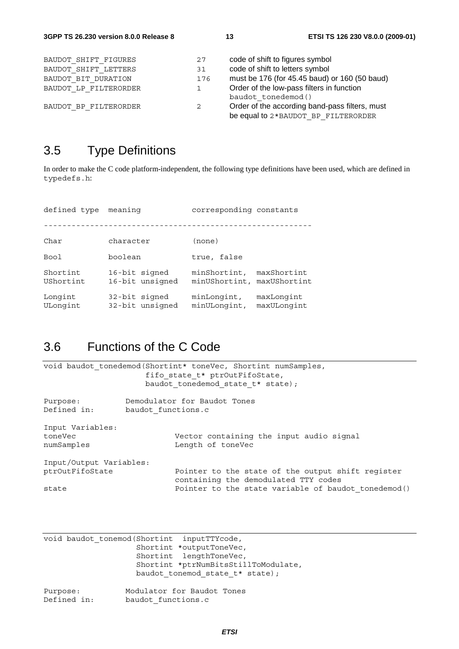| BAUDOT SHIFT FIGURES<br>BAUDOT SHIFT LETTERS | 27<br>31 | code of shift to figures symbol<br>code of shift to letters symbol                    |
|----------------------------------------------|----------|---------------------------------------------------------------------------------------|
| BAUDOT BIT DURATION                          | 176      | must be 176 (for 45.45 baud) or 160 (50 baud)                                         |
| BAUDOT LP FILTERORDER                        | 1        | Order of the low-pass filters in function<br>baudot tonedemod()                       |
| BAUDOT BP FILTERORDER                        | 2        | Order of the according band-pass filters, must<br>be equal to 2*BAUDOT BP FILTERORDER |

### 3.5 Type Definitions

In order to make the C code platform-independent, the following type definitions have been used, which are defined in typedefs.h:

defined type meaning **corresponding constants** ---------------------------------------------------------- Char character (none) Bool boolean true, false Shortint 16-bit signed minShortint, maxShortint UShortint 16-bit unsigned minUShortint, maxUShortint Longint 32-bit signed minLongint, maxLongint ULongint 32-bit unsigned minULongint, maxULongint

### 3.6 Functions of the C Code

|                                                                               | void baudot tonedemod (Shortint* toneVec, Shortint numSamples,<br>fifo state t* ptrOutFifoState,<br>baudot tonedemod state t* state); |  |  |  |  |
|-------------------------------------------------------------------------------|---------------------------------------------------------------------------------------------------------------------------------------|--|--|--|--|
| Demodulator for Baudot Tones<br>Purpose:<br>Defined in:<br>baudot functions.c |                                                                                                                                       |  |  |  |  |
| Input Variables:                                                              |                                                                                                                                       |  |  |  |  |
| toneVec                                                                       | Vector containing the input audio signal                                                                                              |  |  |  |  |
| numSamples                                                                    | Length of toneVec                                                                                                                     |  |  |  |  |
| Input/Output Variables:                                                       |                                                                                                                                       |  |  |  |  |
| ptrOutFifoState                                                               | Pointer to the state of the output shift register<br>containing the demodulated TTY codes                                             |  |  |  |  |
| state                                                                         | Pointer to the state variable of baudot tonedemod()                                                                                   |  |  |  |  |

|          | void baudot tonemod (Shortint inputTTYcode, |                                      |
|----------|---------------------------------------------|--------------------------------------|
|          |                                             | Shortint *outputToneVec,             |
|          |                                             | Shortint lengthToneVec,              |
|          |                                             | Shortint *ptrNumBitsStillToModulate, |
|          |                                             | baudot tonemod state t* state);      |
| Purpose: |                                             | Modulator for Baudot Tones           |

| Purpose:    | Modulator for Baudot Tones |  |  |
|-------------|----------------------------|--|--|
| Defined in: | baudot functions.c         |  |  |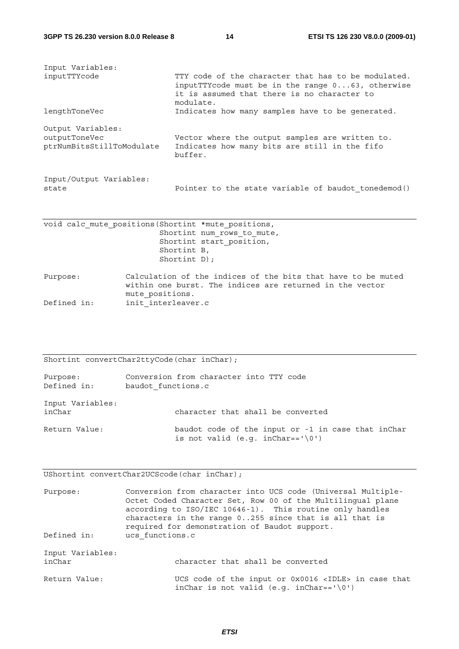| Input Variables:<br>inputTTYcode                                | TTY code of the character that has to be modulated.<br>input TTY code must be in the range $0 \ldots 63$ , otherwise<br>it is assumed that there is no character to<br>modulate. |
|-----------------------------------------------------------------|----------------------------------------------------------------------------------------------------------------------------------------------------------------------------------|
| lengthToneVec                                                   | Indicates how many samples have to be generated.                                                                                                                                 |
| Output Variables:<br>outputToneVec<br>ptrNumBitsStillToModulate | Vector where the output samples are written to.<br>Indicates how many bits are still in the fifo<br>buffer.                                                                      |
| Input/Output Variables:<br>state                                | Pointer to the state variable of baudot tonedemod()                                                                                                                              |

| void calc mute positions (Shortint *mute positions, |                            |
|-----------------------------------------------------|----------------------------|
|                                                     | Shortint num rows to mute, |
|                                                     | Shortint start position,   |
| Shortint B,                                         |                            |
| Shortint $D)$ ;                                     |                            |
|                                                     |                            |

Purpose: Calculation of the indices of the bits that have to be muted within one burst. The indices are returned in the vector mute\_positions. Defined in: init interleaver.c

Shortint convertChar2ttyCode(char inChar); Purpose: Conversion from character into TTY code Defined in: baudot functions.c Input Variables: inChar character that shall be converted Return Value: baudot code of the input or -1 in case that inChar is not valid (e.g.  $inChar=='\0')$ )

UShortint convertChar2UCScode(char inChar);

Purpose: Conversion from character into UCS code (Universal Multiple-Octet Coded Character Set, Row 00 of the Multilingual plane according to ISO/IEC 10646-1). This routine only handles characters in the range 0..255 since that is all that is required for demonstration of Baudot support. Defined in: ucs functions.c Input Variables: inChar character that shall be converted Return Value: UCS code of the input or 0x0016 <IDLE> in case that inChar is not valid  $(e.q. inChar =')0')$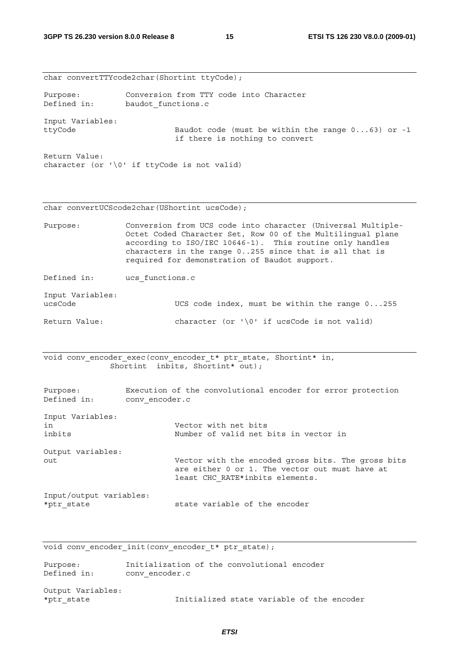|                             | char convertTTYcode2char(Shortint ttyCode);                                                                                                                                                                                                                                                        |  |  |
|-----------------------------|----------------------------------------------------------------------------------------------------------------------------------------------------------------------------------------------------------------------------------------------------------------------------------------------------|--|--|
| Purpose:<br>Defined in:     | Conversion from TTY code into Character<br>baudot functions.c                                                                                                                                                                                                                                      |  |  |
| Input Variables:<br>ttyCode | Baudot code (must be within the range $063$ ) or -1<br>if there is nothing to convert                                                                                                                                                                                                              |  |  |
| Return Value:               | character (or $\sqrt{0}$ if ttyCode is not valid)                                                                                                                                                                                                                                                  |  |  |
|                             | char convertUCScode2char(UShortint ucsCode);                                                                                                                                                                                                                                                       |  |  |
| Purpose:                    | Conversion from UCS code into character (Universal Multiple-<br>Octet Coded Character Set, Row 00 of the Multilingual plane<br>according to ISO/IEC 10646-1). This routine only handles<br>characters in the range 0255 since that is all that is<br>required for demonstration of Baudot support. |  |  |
| Defined in:                 | ucs functions.c                                                                                                                                                                                                                                                                                    |  |  |

Input Variables: ucsCode UCS code index, must be within the range 0...255 Return Value: character (or '\0' if ucsCode is not valid)

void conv\_encoder\_exec(conv\_encoder\_t\* ptr\_state, Shortint\* in, Shortint inbits, Shortint\* out);

| Purpose:<br>Defined in:               | Execution of the convolutional encoder for error protection<br>conv encoder.c                                                           |
|---------------------------------------|-----------------------------------------------------------------------------------------------------------------------------------------|
| Input Variables:<br>in<br>inbits      | Vector with net bits<br>Number of valid net bits in vector in                                                                           |
| Output variables:<br>out              | Vector with the encoded gross bits. The gross bits<br>are either 0 or 1. The vector out must have at<br>least CHC RATE*inbits elements. |
| Input/output variables:<br>*ptr state | state variable of the encoder                                                                                                           |

void conv\_encoder\_init(conv\_encoder\_t\* ptr\_state);

| Purpose:    | Initialization of the convolutional encoder |  |  |
|-------------|---------------------------------------------|--|--|
| Defined in: | conv encoder.c                              |  |  |

Output Variables: \*ptr\_state Initialized state variable of the encoder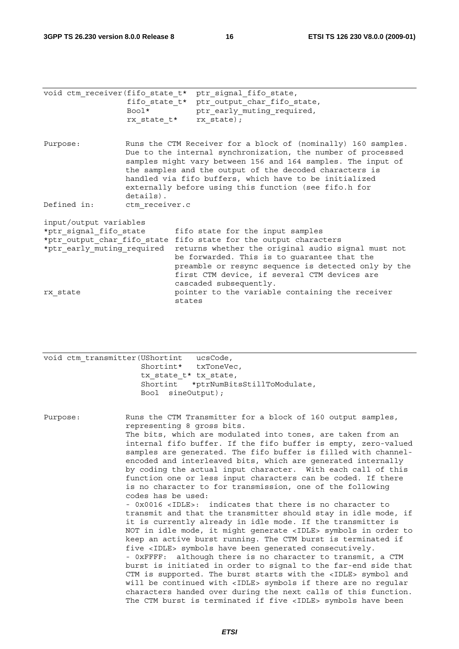|                            |                | void ctm receiver (fifo state t* ptr signal fifo state,          |
|----------------------------|----------------|------------------------------------------------------------------|
|                            |                | fifo state t* ptr output char fifo state,                        |
|                            | Bool*          | ptr early muting required,                                       |
|                            |                | rx state t* rx state);                                           |
|                            |                |                                                                  |
| Purpose:                   |                | Runs the CTM Receiver for a block of (nominally) 160 samples.    |
|                            |                | Due to the internal synchronization, the number of processed     |
|                            |                |                                                                  |
|                            |                | samples might vary between 156 and 164 samples. The input of     |
|                            |                | the samples and the output of the decoded characters is          |
|                            |                | handled via fifo buffers, which have to be initialized           |
|                            |                | externally before using this function (see fifo.h for            |
|                            | details).      |                                                                  |
| Defined in:                | ctm receiver.c |                                                                  |
| input/output variables     |                |                                                                  |
| *ptr signal fifo state     |                | fifo state for the input samples                                 |
|                            |                | *ptr output char fifo state fifo state for the output characters |
| *ptr early muting required |                | returns whether the original audio signal must not               |
|                            |                | be forwarded. This is to guarantee that the                      |
|                            |                |                                                                  |
|                            |                | preamble or resync sequence is detected only by the              |
|                            |                | first CTM device, if several CTM devices are                     |
|                            |                | cascaded subsequently.                                           |
| rx state                   |                | pointer to the variable containing the receiver                  |
|                            |                | states                                                           |

| void ctm transmitter (UShortint | ucsCode,                             |
|---------------------------------|--------------------------------------|
| Shortint* txToneVec,            |                                      |
| tx state t* tx state,           |                                      |
|                                 | Shortint *ptrNumBitsStillToModulate, |
| Bool sineOutput);               |                                      |

Purpose: Runs the CTM Transmitter for a block of 160 output samples, representing 8 gross bits. The bits, which are modulated into tones, are taken from an internal fifo buffer. If the fifo buffer is empty, zero-valued samples are generated. The fifo buffer is filled with channelencoded and interleaved bits, which are generated internally by coding the actual input character. With each call of this function one or less input characters can be coded. If there is no character to for transmission, one of the following codes has be used: - 0x0016 <IDLE>: indicates that there is no character to transmit and that the transmitter should stay in idle mode, if it is currently already in idle mode. If the transmitter is NOT in idle mode, it might generate <IDLE> symbols in order to keep an active burst running. The CTM burst is terminated if five <IDLE> symbols have been generated consecutively. - 0xFFFF: although there is no character to transmit, a CTM burst is initiated in order to signal to the far-end side that CTM is supported. The burst starts with the <IDLE> symbol and will be continued with <IDLE> symbols if there are no regular

characters handed over during the next calls of this function. The CTM burst is terminated if five <IDLE> symbols have been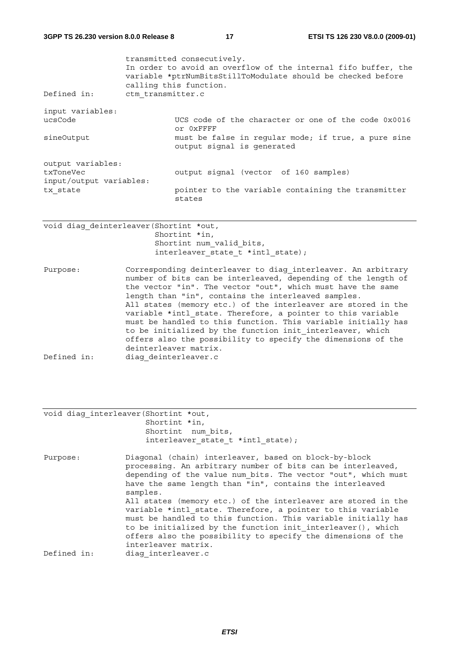| Defined in:                                                           | transmitted consecutively.<br>In order to avoid an overflow of the internal fifo buffer, the<br>variable *ptrNumBitsStillToModulate should be checked before<br>calling this function.<br>ctm transmitter.c |                                                                                                                                                       |  |
|-----------------------------------------------------------------------|-------------------------------------------------------------------------------------------------------------------------------------------------------------------------------------------------------------|-------------------------------------------------------------------------------------------------------------------------------------------------------|--|
| input variables:<br>ucsCode<br>sineOutput                             |                                                                                                                                                                                                             | UCS code of the character or one of the code 0x0016<br>Or OXFFFF<br>must be false in reqular mode; if true, a pure sine<br>output signal is generated |  |
| output variables:<br>txToneVec<br>input/output variables:<br>tx state |                                                                                                                                                                                                             | output signal (vector of 160 samples)<br>pointer to the variable containing the transmitter<br>states                                                 |  |
| void diag deinterleaver (Shortint *out,                               |                                                                                                                                                                                                             | Shortint *in.                                                                                                                                         |  |

;hortint Shortint num valid bits, interleaver state t \*intl state);

Purpose: Corresponding deinterleaver to diag interleaver. An arbitrary number of bits can be interleaved, depending of the length of the vector "in". The vector "out", which must have the same length than "in", contains the interleaved samples. All states (memory etc.) of the interleaver are stored in the variable \*intl state. Therefore, a pointer to this variable must be handled to this function. This variable initially has to be initialized by the function init interleaver, which offers also the possibility to specify the dimensions of the deinterleaver matrix. Defined in: diag\_deinterleaver.c

|  | void diag interleaver (Shortint *out, |                    |                                     |  |
|--|---------------------------------------|--------------------|-------------------------------------|--|
|  | Shortint *in,                         |                    |                                     |  |
|  |                                       | Shortint num bits, |                                     |  |
|  |                                       |                    | interleaver state $t$ *intl state); |  |
|  |                                       |                    |                                     |  |

Purpose: Diagonal (chain) interleaver, based on block-by-block processing. An arbitrary number of bits can be interleaved, depending of the value num\_bits. The vector "out", which must have the same length than "in", contains the interleaved samples. All states (memory etc.) of the interleaver are stored in the variable \*intl state. Therefore, a pointer to this variable must be handled to this function. This variable initially has to be initialized by the function init interleaver(), which offers also the possibility to specify the dimensions of the interleaver matrix. Defined in: diag\_interleaver.c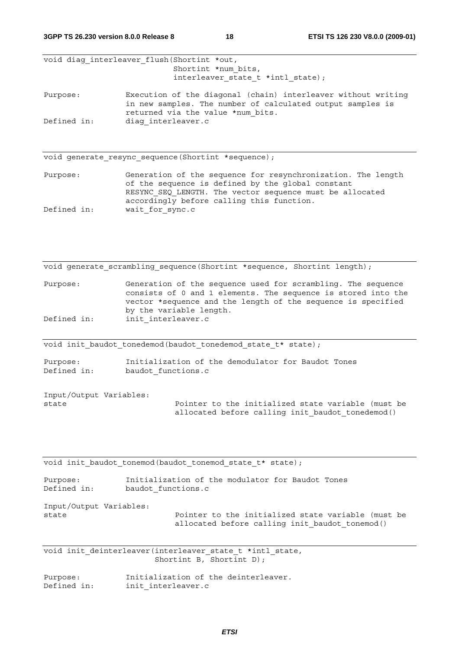**3GPP TS 26.230 version 8.0.0 Release 8 18 ETSI TS 126 230 V8.0.0 (2009-01)**

void diag interleaver flush(Shortint \*out, Shortint \*num\_bits, interleaver state t \*intl state);

Purpose: Execution of the diagonal (chain) interleaver without writing in new samples. The number of calculated output samples is returned via the value \*num\_bits. Defined in: diag\_interleaver.c

void generate resync sequence(Shortint \*sequence);

Purpose: Generation of the sequence for resynchronization. The length of the sequence is defined by the global constant RESYNC SEQ LENGTH. The vector sequence must be allocated accordingly before calling this function. Defined in: wait for sync.c

void generate scrambling sequence(Shortint \*sequence, Shortint length);

Purpose: Generation of the sequence used for scrambling. The sequence consists of 0 and 1 elements. The sequence is stored into the vector \*sequence and the length of the sequence is specified by the variable length. Defined in: init interleaver.c

void init\_baudot\_tonedemod(baudot\_tonedemod\_state\_t\* state);

Purpose: Initialization of the demodulator for Baudot Tones Defined in: baudot functions.c

Input/Output Variables:

state The Pointer to the initialized state variable (must be allocated before calling init baudot tonedemod()

void init baudot tonemod(baudot tonemod state t\* state);

| Purpose:                | Initialization of the modulator for Baudot Tones   |
|-------------------------|----------------------------------------------------|
| Defined in:             | baudot functions.c                                 |
| Input/Output Variables: |                                                    |
| state                   | Pointer to the initialized state variable (must be |
|                         | allocated before calling init baudot tonemod()     |

void init deinterleaver(interleaver state t \*intl state, Shortint B, Shortint D);

Purpose: Initialization of the deinterleaver. Defined in: init interleaver.c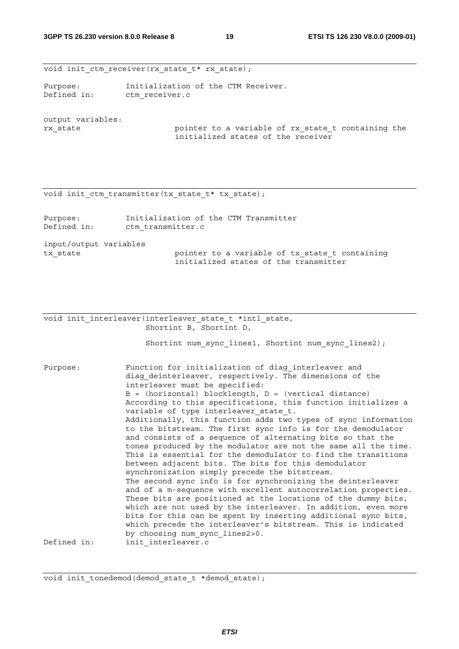void init ctm receiver(rx state t\* rx state);

Purpose: Initialization of the CTM Receiver. Defined in: ctm receiver.c

output variables:

rx\_state pointer to a variable of rx\_state\_t containing the initialized states of the receiver

void init ctm transmitter(tx state  $t*$  tx state);

| Purpose:<br>Defined in: | Initialization of the CTM Transmitter<br>ctm transmitter.c                              |
|-------------------------|-----------------------------------------------------------------------------------------|
| input/output variables  |                                                                                         |
| tx state                | pointer to a variable of tx state t containing<br>initialized states of the transmitter |

void init interleaver(interleaver state t \*intl state, Shortint B, Shortint D,

Shortint num sync lines1, Shortint num sync lines2);

Purpose: Function for initialization of diag interleaver and diag deinterleaver, respectively. The dimensions of the interleaver must be specified:  $B = (horizontal) blocklength, D = (vertical distance)$ According to this specifications, this function initializes a variable of type interleaver state t. Additionally, this function  $\overline{a}$ dds two types of sync information to the bitstream. The first sync info is for the demodulator and consists of a sequence of alternating bits so that the tones produced by the modulator are not the same all the time. This is essential for the demodulator to find the transitions between adjacent bits. The bits for this demodulator synchronization simply precede the bitstream. The second sync info is for synchronizing the deinterleaver and of a m-sequence with excellent autocorrelation properties. These bits are positioned at the locations of the dummy bits, which are not used by the interleaver. In addition, even more bits for this can be spent by inserting additional sync bits, which precede the interleaver's bitstream. This is indicated by choosing num\_sync\_lines2>0. Defined in: init\_interleaver.c

void init tonedemod(demod state t \*demod state);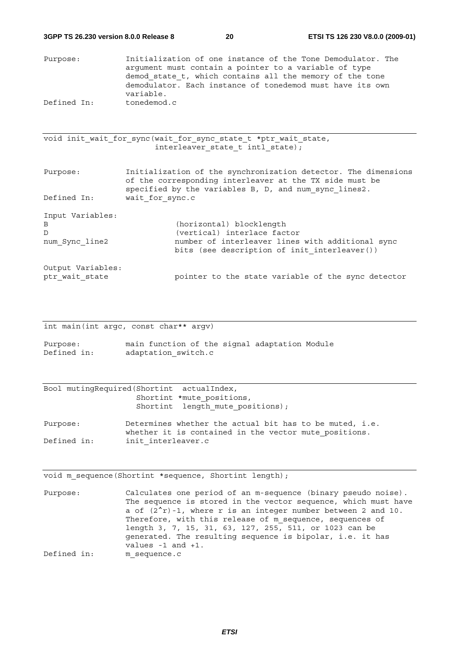Purpose: Initialization of one instance of the Tone Demodulator. The argument must contain a pointer to a variable of type demod state  $t$ , which contains all the memory of the tone demodulator. Each instance of tonedemod must have its own variable. Defined In: tonedemod.c

void init wait for sync(wait for sync state t \*ptr wait state, interleaver\_state\_t intl\_state);

Purpose: Initialization of the synchronization detector. The dimensions of the corresponding interleaver at the TX side must be specified by the variables B, D, and num\_sync\_lines2. Defined In: wait\_for\_sync.c Input Variables: B (horizontal) blocklength D (vertical) interlace factor num Sync line2 number of interleaver lines with additional sync bits (see description of init interleaver()) Output Variables: ptr wait state  $pointer$  to the state variable of the sync detector

int main(int argc, const char\*\* argv)

Purpose: main function of the signal adaptation Module Defined in: adaptation switch.c

| Bool mutingRequired(Shortint actualIndex, |                                  |  |
|-------------------------------------------|----------------------------------|--|
|                                           | Shortint *mute positions,        |  |
|                                           | Shortint length mute positions); |  |
|                                           |                                  |  |

Purpose: Determines whether the actual bit has to be muted, i.e. whether it is contained in the vector mute positions. Defined in: init interleaver.c

void m\_sequence(Shortint \*sequence, Shortint length);

Purpose: Calculates one period of an m-sequence (binary pseudo noise). The sequence is stored in the vector sequence, which must have a of  $(2^{r})-1$ , where r is an integer number between 2 and 10. Therefore, with this release of m sequence, sequences of length 3, 7, 15, 31, 63, 127, 255, 511, or 1023 can be generated. The resulting sequence is bipolar, i.e. it has values -1 and +1. Defined in: m sequence.c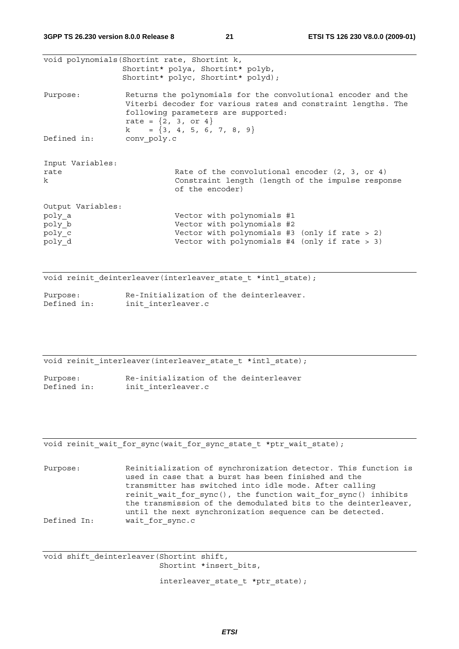|                                                           | void polynomials (Shortint rate, Shortint k,<br>Shortint* polya, Shortint* polyb,<br>Shortint* polyc, Shortint* polyd);                                                                                                           |
|-----------------------------------------------------------|-----------------------------------------------------------------------------------------------------------------------------------------------------------------------------------------------------------------------------------|
| Purpose:                                                  | Returns the polynomials for the convolutional encoder and the<br>Viterbi decoder for various rates and constraint lengths. The<br>following parameters are supported:<br>rate = $\{2, 3, 0r 4\}$<br>$k = \{3, 4, 5, 6, 7, 8, 9\}$ |
| Defined in:                                               | conv poly.c                                                                                                                                                                                                                       |
| Input Variables:<br>rate<br>$\mathbf{k}$                  | Rate of the convolutional encoder $(2, 3, or 4)$<br>Constraint length (length of the impulse response<br>of the encoder)                                                                                                          |
| Output Variables:<br>poly a<br>poly b<br>poly c<br>poly d | Vector with polynomials #1<br>Vector with polynomials #2<br>Vector with polynomials #3 (only if rate $> 2$ )<br>Vector with polynomials $#4$ (only if rate > 3)                                                                   |

void reinit\_deinterleaver(interleaver\_state\_t \*intl\_state);

| Purpose:    | Re-Initialization of the deinterleaver. |
|-------------|-----------------------------------------|
| Defined in: | init interleaver.c                      |

void reinit interleaver(interleaver state t \*intl state);

Purpose: Re-initialization of the deinterleaver Defined in: init interleaver.c

void reinit wait for sync(wait for sync state t \*ptr wait state);

Purpose: Reinitialization of synchronization detector. This function is used in case that a burst has been finished and the transmitter has switched into idle mode. After calling reinit wait for sync(), the function wait for sync() inhibits the transmission of the demodulated bits to the deinterleaver, until the next synchronization sequence can be detected. Defined In: wait for sync.c

void shift\_deinterleaver(Shortint shift, Shortint \*insert bits,

interleaver\_state\_t \*ptr\_state);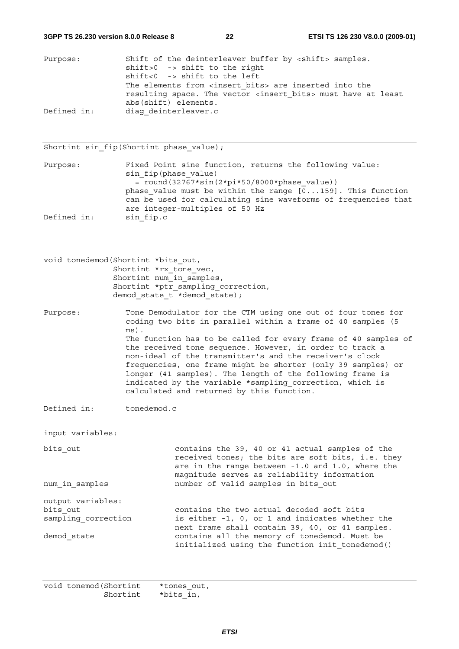| Purpose:    | Shift of the deinterleaver buffer by <shift> samples.</shift>            |
|-------------|--------------------------------------------------------------------------|
|             | $shift > 0$ -> $shift$ to the right                                      |
|             | $shift<0$ -> $shift$ to the left                                         |
|             | The elements from <insert bits=""> are inserted into the</insert>        |
|             | resulting space. The vector <insert bits=""> must have at least</insert> |
|             | abs(shift) elements.                                                     |
| Defined in: | diag deinterleaver.c                                                     |

#### Shortint sin\_fip(Shortint phase\_value);

Purpose: Fixed Point sine function, returns the following value: sin fip(phase value)  $=$  round(32767\*sin(2\*pi\*50/8000\*phase value)) phase value must be within the range  $[0...159]$ . This function can be used for calculating sine waveforms of frequencies that are integer-multiples of 50 Hz Defined in: sin fip.c

| Shortint *ptr sampling correction, |
|------------------------------------|
|                                    |
|                                    |

Purpose: Tone Demodulator for the CTM using one out of four tones for coding two bits in parallel within a frame of 40 samples (5 ms). The function has to be called for every frame of 40 samples of the received tone sequence. However, in order to track a non-ideal of the transmitter's and the receiver's clock frequencies, one frame might be shorter (only 39 samples) or longer (41 samples). The length of the following frame is indicated by the variable \*sampling\_correction, which is calculated and returned by this function.

Defined in: tonedemod.c

input variables:

bits out contains the 39, 40 or 41 actual samples of the received tones; the bits are soft bits, i.e. they are in the range between -1.0 and 1.0, where the magnitude serves as reliability information num\_in\_samples number of valid samples in bits\_out output variables:

bits\_out contains the two actual decoded soft bits<br>sampling correction is either -1, 0, or 1 and indicates wheth is either  $-1$ , 0, or 1 and indicates whether the next frame shall contain 39, 40, or 41 samples. demod state contains all the memory of tonedemod. Must be initialized using the function init tonedemod()

| void tonemod (Shortint | *tones out, |  |
|------------------------|-------------|--|
| Shortint               | *bits in,   |  |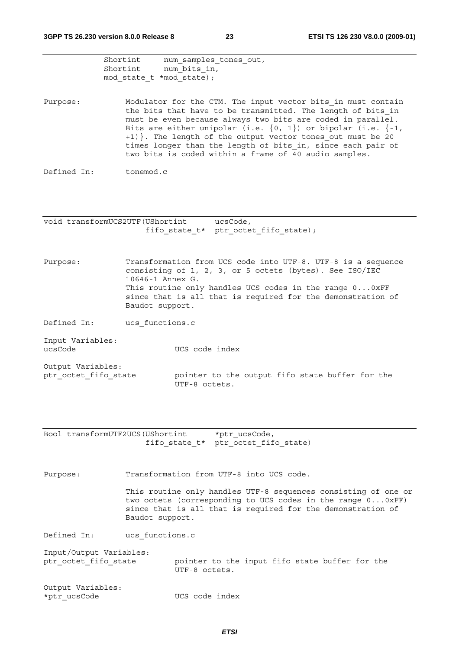|                                           | Shortint<br>Shortint<br>mod state t *mod state); | num samples tones out,<br>num bits in,                                                                                                                                                                                                                                                                                                                                                                                                                    |
|-------------------------------------------|--------------------------------------------------|-----------------------------------------------------------------------------------------------------------------------------------------------------------------------------------------------------------------------------------------------------------------------------------------------------------------------------------------------------------------------------------------------------------------------------------------------------------|
| Purpose:                                  |                                                  | Modulator for the CTM. The input vector bits in must contain<br>the bits that have to be transmitted. The length of bits in<br>must be even because always two bits are coded in parallel.<br>Bits are either unipolar (i.e. $\{0, 1\}$ ) or bipolar (i.e. $\{-1,$<br>+1) }. The length of the output vector tones out must be 20<br>times longer than the length of bits in, since each pair of<br>two bits is coded within a frame of 40 audio samples. |
| Defined In:                               | tonemod.c                                        |                                                                                                                                                                                                                                                                                                                                                                                                                                                           |
| void transformUCS2UTF (UShortint          |                                                  | ucsCode,                                                                                                                                                                                                                                                                                                                                                                                                                                                  |
|                                           |                                                  | fifo state t* ptr octet fifo state);                                                                                                                                                                                                                                                                                                                                                                                                                      |
| Purpose:                                  | 10646-1 Annex G.<br>Baudot support.              | Transformation from UCS code into UTF-8. UTF-8 is a sequence<br>consisting of 1, 2, 3, or 5 octets (bytes). See ISO/IEC<br>This routine only handles UCS codes in the range 00xFF<br>since that is all that is required for the demonstration of                                                                                                                                                                                                          |
| Defined In:                               | ucs functions.c                                  |                                                                                                                                                                                                                                                                                                                                                                                                                                                           |
| Input Variables:<br>ucsCode               |                                                  | UCS code index                                                                                                                                                                                                                                                                                                                                                                                                                                            |
| Output Variables:<br>ptr octet fifo state |                                                  | pointer to the output fifo state buffer for the<br>UTF-8 octets.                                                                                                                                                                                                                                                                                                                                                                                          |
|                                           |                                                  |                                                                                                                                                                                                                                                                                                                                                                                                                                                           |
| Bool transformUTF2UCS (UShortint          |                                                  | *ptr ucsCode,<br>fifo state t* ptr octet fifo state)                                                                                                                                                                                                                                                                                                                                                                                                      |
| Purpose:                                  |                                                  | Transformation from UTF-8 into UCS code.                                                                                                                                                                                                                                                                                                                                                                                                                  |
|                                           | Baudot support.                                  | This routine only handles UTF-8 sequences consisting of one or<br>two octets (corresponding to UCS codes in the range 00xFF)<br>since that is all that is required for the demonstration of                                                                                                                                                                                                                                                               |
| Defined In:                               | ucs functions.c                                  |                                                                                                                                                                                                                                                                                                                                                                                                                                                           |
| Input/Output Variables:                   |                                                  |                                                                                                                                                                                                                                                                                                                                                                                                                                                           |
| ptr octet fifo state                      |                                                  | pointer to the input fifo state buffer for the<br>UTF-8 octets.                                                                                                                                                                                                                                                                                                                                                                                           |
| Output Variables:<br>*ptr ucsCode         |                                                  | UCS code index                                                                                                                                                                                                                                                                                                                                                                                                                                            |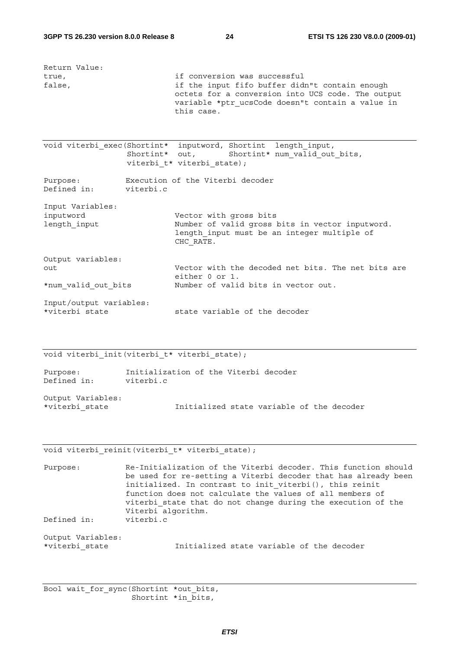| Return Value:<br>true,<br>false,                | if conversion was successful<br>if the input fifo buffer didn"t contain enough<br>octets for a conversion into UCS code. The output<br>variable *ptr ucsCode doesn"t contain a value in<br>this case. |
|-------------------------------------------------|-------------------------------------------------------------------------------------------------------------------------------------------------------------------------------------------------------|
|                                                 | void viterbi exec (Shortint* inputword, Shortint length input,<br>Shortint* num valid out bits,<br>Shortint* out,<br>viterbi t* viterbi state);                                                       |
| Purpose:<br>Defined in: viterbi.c               | Execution of the Viterbi decoder                                                                                                                                                                      |
| Input Variables:<br>inputword<br>length input   | Vector with gross bits<br>Number of valid gross bits in vector inputword.<br>length input must be an integer multiple of<br>CHC RATE.                                                                 |
| Output variables:<br>out<br>*num valid out bits | Vector with the decoded net bits. The net bits are<br>either 0 or 1.<br>Number of valid bits in vector out.                                                                                           |
| Input/output variables:<br>*viterbi state       | state variable of the decoder                                                                                                                                                                         |

### void viterbi init(viterbi t\* viterbi\_state);

| Purpose:          | Initialization of the Viterbi decoder |  |                                           |  |  |
|-------------------|---------------------------------------|--|-------------------------------------------|--|--|
| Defined in:       | viterbi.c                             |  |                                           |  |  |
|                   |                                       |  |                                           |  |  |
| Output Variables: |                                       |  |                                           |  |  |
| *viterbi state    |                                       |  | Initialized state variable of the decoder |  |  |

#### void viterbi\_reinit(viterbi\_t\* viterbi\_state);

Purpose: Re-Initialization of the Viterbi decoder. This function should be used for re-setting a Viterbi decoder that has already been initialized. In contrast to init viterbi(), this reinit function does not calculate the values of all members of viterbi\_state that do not change during the execution of the Viterbi algorithm. Defined in: viterbi.c

Output Variables:

Initialized state variable of the decoder

```
Bool wait_for_sync(Shortint *out_bits, 
       Shortint *in bits,
```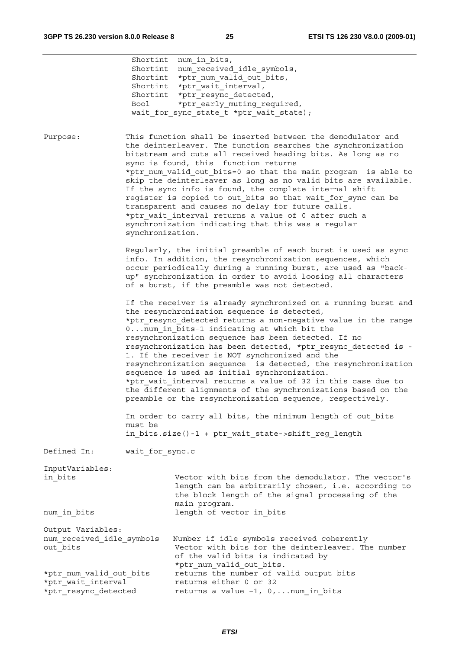|                                                                       | Bool             | Shortint num in bits,<br>Shortint num received idle symbols,<br>Shortint *ptr num valid out bits,<br>Shortint *ptr wait interval,<br>Shortint *ptr resync detected,<br>*ptr early muting required,<br>wait for sync state t *ptr wait state);                                                                                                                                                                                                                                                                                                                                                                                                                                                                           |
|-----------------------------------------------------------------------|------------------|-------------------------------------------------------------------------------------------------------------------------------------------------------------------------------------------------------------------------------------------------------------------------------------------------------------------------------------------------------------------------------------------------------------------------------------------------------------------------------------------------------------------------------------------------------------------------------------------------------------------------------------------------------------------------------------------------------------------------|
| Purpose:                                                              | synchronization. | This function shall be inserted between the demodulator and<br>the deinterleaver. The function searches the synchronization<br>bitstream and cuts all received heading bits. As long as no<br>sync is found, this function returns<br>*ptr num valid out bits=0 so that the main program is able to<br>skip the deinterleaver as long as no valid bits are available.<br>If the sync info is found, the complete internal shift<br>register is copied to out bits so that wait for sync can be<br>transparent and causes no delay for future calls.<br>*ptr wait interval returns a value of 0 after such a<br>synchronization indicating that this was a regular                                                       |
|                                                                       |                  | Regularly, the initial preamble of each burst is used as sync<br>info. In addition, the resynchronization sequences, which<br>occur periodically during a running burst, are used as "back-<br>up" synchronization in order to avoid loosing all characters<br>of a burst, if the preamble was not detected.                                                                                                                                                                                                                                                                                                                                                                                                            |
|                                                                       |                  | If the receiver is already synchronized on a running burst and<br>the resynchronization sequence is detected,<br>*ptr resync detected returns a non-negative value in the range<br>0num in bits-1 indicating at which bit the<br>resynchronization sequence has been detected. If no<br>resynchronization has been detected, *ptr resync detected is -<br>1. If the receiver is NOT synchronized and the<br>resynchronization sequence is detected, the resynchronization<br>sequence is used as initial synchronization.<br>*ptr wait interval returns a value of 32 in this case due to<br>the different alignments of the synchronizations based on the<br>preamble or the resynchronization sequence, respectively. |
|                                                                       | must be          | In order to carry all bits, the minimum length of out bits<br>in bits.size()-1 + ptr wait state->shift reg length                                                                                                                                                                                                                                                                                                                                                                                                                                                                                                                                                                                                       |
| Defined In:                                                           | wait for sync.c  |                                                                                                                                                                                                                                                                                                                                                                                                                                                                                                                                                                                                                                                                                                                         |
| InputVariables:<br>in bits                                            |                  | Vector with bits from the demodulator. The vector's<br>length can be arbitrarily chosen, i.e. according to<br>the block length of the signal processing of the                                                                                                                                                                                                                                                                                                                                                                                                                                                                                                                                                          |
| num in bits                                                           |                  | main program.<br>length of vector in bits                                                                                                                                                                                                                                                                                                                                                                                                                                                                                                                                                                                                                                                                               |
| Output Variables:<br>num received idle symbols<br>out bits            |                  | Number if idle symbols received coherently<br>Vector with bits for the deinterleaver. The number<br>of the valid bits is indicated by<br>*ptr num valid out bits.                                                                                                                                                                                                                                                                                                                                                                                                                                                                                                                                                       |
| *ptr num valid out bits<br>*ptr wait interval<br>*ptr resync detected |                  | returns the number of valid output bits<br>returns either 0 or 32<br>returns a value $-1$ , 0,  num in bits                                                                                                                                                                                                                                                                                                                                                                                                                                                                                                                                                                                                             |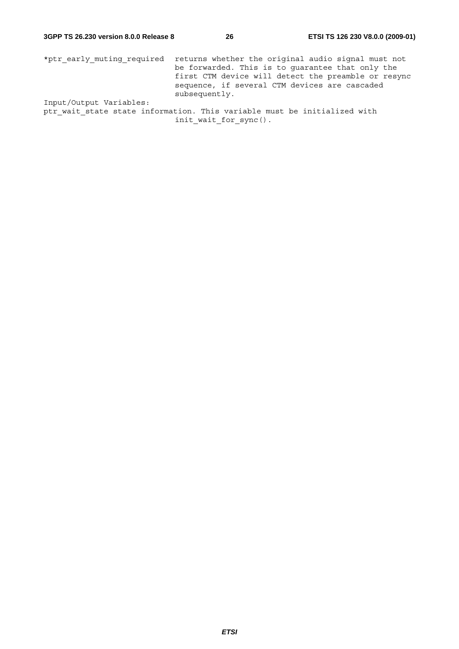\*ptr\_early\_muting\_required returns whether the original audio signal must not be forwarded. This is to guarantee that only the first CTM device will detect the preamble or resync sequence, if several CTM devices are cascaded subsequently. Input/Output Variables:

ptr\_wait\_state state information. This variable must be initialized with init\_wait\_for\_sync().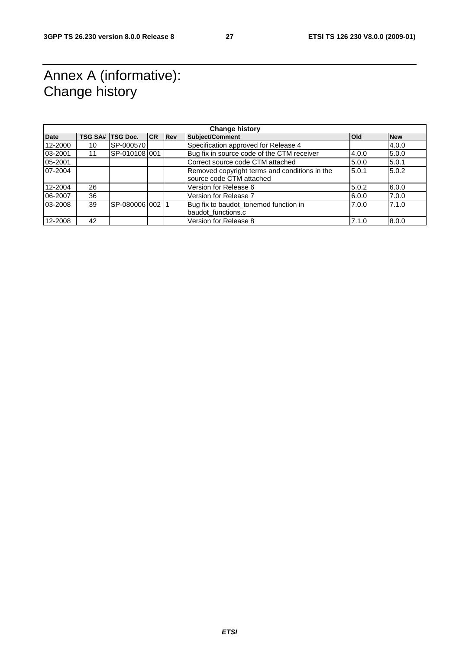### Annex A (informative): Change history

| <b>Change history</b> |                |                 |           |            |                                                                           |              |            |  |
|-----------------------|----------------|-----------------|-----------|------------|---------------------------------------------------------------------------|--------------|------------|--|
| <b>Date</b>           | <b>TSG SA#</b> | <b>TSG Doc.</b> | <b>CR</b> | <b>Rev</b> | <b>Subject/Comment</b>                                                    | <b>l</b> Old | <b>New</b> |  |
| 12-2000               | 10             | SP-000570       |           |            | Specification approved for Release 4                                      |              | 4.0.0      |  |
| 03-2001               |                | SP-0101081001   |           |            | Bug fix in source code of the CTM receiver                                | 4.0.0        | 5.0.0      |  |
| 05-2001               |                |                 |           |            | Correct source code CTM attached                                          | 5.0.0        | 5.0.1      |  |
| 07-2004               |                |                 |           |            | Removed copyright terms and conditions in the<br>source code CTM attached | 5.0.1        | 5.0.2      |  |
| 12-2004               | 26             |                 |           |            | Version for Release 6                                                     | 5.0.2        | 6.0.0      |  |
| 06-2007               | 36             |                 |           |            | Version for Release 7                                                     | 6.0.0        | 7.0.0      |  |
| 03-2008               | 39             | SP-0800061002   |           |            | Bug fix to baudot_tonemod function in                                     | 7.0.0        | 7.1.0      |  |
|                       |                |                 |           |            | baudot_functions.c                                                        |              |            |  |
| 12-2008               | 42             |                 |           |            | Version for Release 8                                                     | 7.1.0        | 8.0.0      |  |